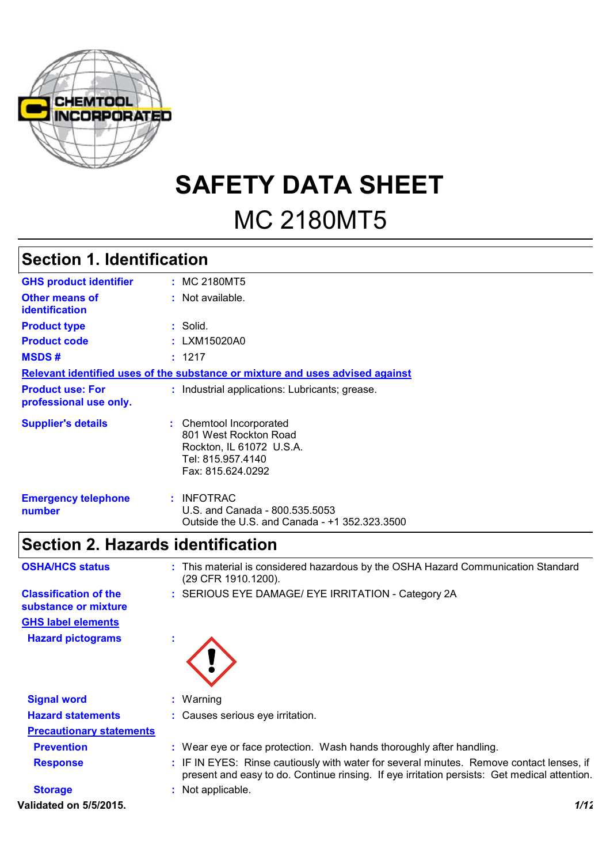

**SAFETY DATA SHEET** MC 2180MT5

# **Section 1. Identification**

| <b>GHS product identifier</b>                     | : MC 2180MT5                                                                                                           |
|---------------------------------------------------|------------------------------------------------------------------------------------------------------------------------|
| <b>Other means of</b><br><b>identification</b>    | : Not available.                                                                                                       |
| <b>Product type</b>                               | : Solid.                                                                                                               |
| <b>Product code</b>                               | : LXM15020A0                                                                                                           |
| <b>MSDS#</b>                                      | : 1217                                                                                                                 |
|                                                   | Relevant identified uses of the substance or mixture and uses advised against                                          |
| <b>Product use: For</b><br>professional use only. | : Industrial applications: Lubricants; grease.                                                                         |
| <b>Supplier's details</b>                         | : Chemtool Incorporated<br>801 West Rockton Road<br>Rockton, IL 61072 U.S.A.<br>Tel: 815.957.4140<br>Fax: 815.624.0292 |
| <b>Emergency telephone</b><br>number              | $:$ INFOTRAC<br>U.S. and Canada - 800.535.5053<br>Outside the U.S. and Canada - +1 352.323.3500                        |

# **Section 2. Hazards identification**

| <b>OSHA/HCS status</b>                               | : This material is considered hazardous by the OSHA Hazard Communication Standard<br>(29 CFR 1910.1200).                                                                                 |
|------------------------------------------------------|------------------------------------------------------------------------------------------------------------------------------------------------------------------------------------------|
| <b>Classification of the</b><br>substance or mixture | : SERIOUS EYE DAMAGE/ EYE IRRITATION - Category 2A                                                                                                                                       |
| <b>GHS label elements</b>                            |                                                                                                                                                                                          |
| <b>Hazard pictograms</b>                             |                                                                                                                                                                                          |
| <b>Signal word</b>                                   | $:$ Warning                                                                                                                                                                              |
| <b>Hazard statements</b>                             | : Causes serious eye irritation.                                                                                                                                                         |
| <b>Precautionary statements</b>                      |                                                                                                                                                                                          |
| <b>Prevention</b>                                    | : Wear eye or face protection. Wash hands thoroughly after handling.                                                                                                                     |
| <b>Response</b>                                      | : IF IN EYES: Rinse cautiously with water for several minutes. Remove contact lenses, if<br>present and easy to do. Continue rinsing. If eye irritation persists: Get medical attention. |
| <b>Storage</b>                                       | : Not applicable.                                                                                                                                                                        |

**Validated on 5/5/2015.** *1/12*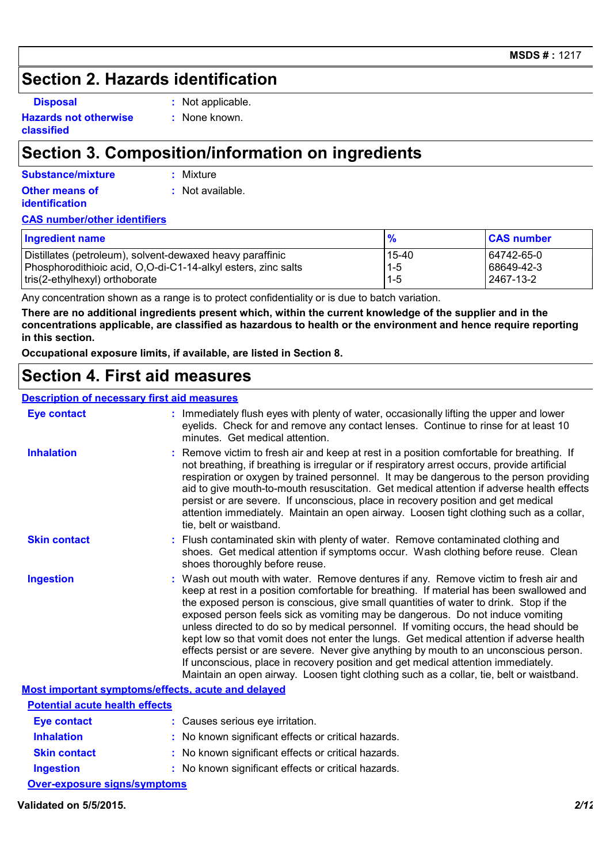### **Section 2. Hazards identification**

**Disposal :** Not applicable.

**Hazards not otherwise classified**

**:** None known.

## **Section 3. Composition/information on ingredients**

**:** Mixture

**Other means of** 

**identification**

**:** Not available.

### **CAS number/other identifiers**

| <b>Ingredient name</b>                                        | $\frac{9}{6}$ | <b>CAS number</b> |
|---------------------------------------------------------------|---------------|-------------------|
| Distillates (petroleum), solvent-dewaxed heavy paraffinic     | 15-40         | 64742-65-0        |
| Phosphorodithioic acid, O,O-di-C1-14-alkyl esters, zinc salts | $1 - 5$       | 68649-42-3        |
| tris(2-ethylhexyl) orthoborate                                | $1 - 5$       | l 2467-13-2       |

Any concentration shown as a range is to protect confidentiality or is due to batch variation.

**There are no additional ingredients present which, within the current knowledge of the supplier and in the concentrations applicable, are classified as hazardous to health or the environment and hence require reporting in this section.**

**Occupational exposure limits, if available, are listed in Section 8.**

# **Section 4. First aid measures**

### **Description of necessary first aid measures**

| <b>Eye contact</b>                                 | : Immediately flush eyes with plenty of water, occasionally lifting the upper and lower<br>eyelids. Check for and remove any contact lenses. Continue to rinse for at least 10<br>minutes. Get medical attention.                                                                                                                                                                                                                                                                                                                                                                                                                                                                                                                                                                                                         |  |  |  |
|----------------------------------------------------|---------------------------------------------------------------------------------------------------------------------------------------------------------------------------------------------------------------------------------------------------------------------------------------------------------------------------------------------------------------------------------------------------------------------------------------------------------------------------------------------------------------------------------------------------------------------------------------------------------------------------------------------------------------------------------------------------------------------------------------------------------------------------------------------------------------------------|--|--|--|
| <b>Inhalation</b>                                  | : Remove victim to fresh air and keep at rest in a position comfortable for breathing. If<br>not breathing, if breathing is irregular or if respiratory arrest occurs, provide artificial<br>respiration or oxygen by trained personnel. It may be dangerous to the person providing<br>aid to give mouth-to-mouth resuscitation. Get medical attention if adverse health effects<br>persist or are severe. If unconscious, place in recovery position and get medical<br>attention immediately. Maintain an open airway. Loosen tight clothing such as a collar,<br>tie, belt or waistband.                                                                                                                                                                                                                              |  |  |  |
| <b>Skin contact</b>                                | : Flush contaminated skin with plenty of water. Remove contaminated clothing and<br>shoes. Get medical attention if symptoms occur. Wash clothing before reuse. Clean<br>shoes thoroughly before reuse.                                                                                                                                                                                                                                                                                                                                                                                                                                                                                                                                                                                                                   |  |  |  |
| <b>Ingestion</b>                                   | : Wash out mouth with water. Remove dentures if any. Remove victim to fresh air and<br>keep at rest in a position comfortable for breathing. If material has been swallowed and<br>the exposed person is conscious, give small quantities of water to drink. Stop if the<br>exposed person feels sick as vomiting may be dangerous. Do not induce vomiting<br>unless directed to do so by medical personnel. If vomiting occurs, the head should be<br>kept low so that vomit does not enter the lungs. Get medical attention if adverse health<br>effects persist or are severe. Never give anything by mouth to an unconscious person.<br>If unconscious, place in recovery position and get medical attention immediately.<br>Maintain an open airway. Loosen tight clothing such as a collar, tie, belt or waistband. |  |  |  |
| Most important symptoms/effects, acute and delayed |                                                                                                                                                                                                                                                                                                                                                                                                                                                                                                                                                                                                                                                                                                                                                                                                                           |  |  |  |

| <b>Potential acute health effects</b>                                                                         |                                                     |
|---------------------------------------------------------------------------------------------------------------|-----------------------------------------------------|
| Eye contact                                                                                                   | : Causes serious eye irritation.                    |
| <b>Inhalation</b>                                                                                             | : No known significant effects or critical hazards. |
| <b>Skin contact</b>                                                                                           | : No known significant effects or critical hazards. |
| <b>Ingestion</b>                                                                                              | : No known significant effects or critical hazards. |
| And a complete the state of the state of the state of the state of the state of the state of the state of the |                                                     |

**Over-exposure signs/symptoms**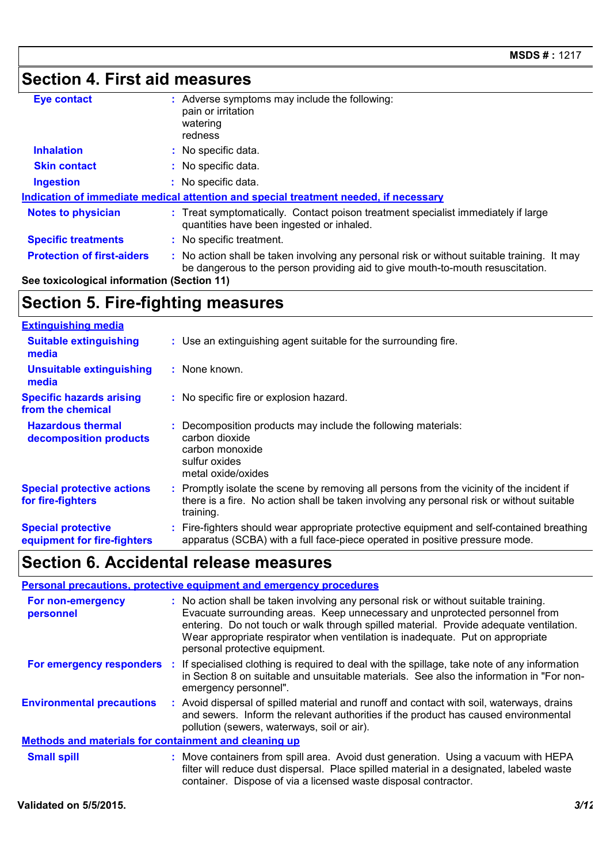# **Section 4. First aid measures**

| <b>Eye contact</b>                                                                   |  | Adverse symptoms may include the following:<br>pain or irritation<br>watering<br>redness                                                                                    |  |
|--------------------------------------------------------------------------------------|--|-----------------------------------------------------------------------------------------------------------------------------------------------------------------------------|--|
| <b>Inhalation</b>                                                                    |  | : No specific data.                                                                                                                                                         |  |
| <b>Skin contact</b>                                                                  |  | No specific data.                                                                                                                                                           |  |
| <b>Ingestion</b>                                                                     |  | : No specific data.                                                                                                                                                         |  |
| Indication of immediate medical attention and special treatment needed, if necessary |  |                                                                                                                                                                             |  |
| <b>Notes to physician</b>                                                            |  | Treat symptomatically. Contact poison treatment specialist immediately if large<br>quantities have been ingested or inhaled.                                                |  |
| <b>Specific treatments</b>                                                           |  | No specific treatment.                                                                                                                                                      |  |
| <b>Protection of first-aiders</b>                                                    |  | No action shall be taken involving any personal risk or without suitable training. It may<br>be dangerous to the person providing aid to give mouth-to-mouth resuscitation. |  |

**See toxicological information (Section 11)**

# **Section 5. Fire-fighting measures**

| <b>Extinguishing media</b>                               |                                                                                                                                                                                                     |
|----------------------------------------------------------|-----------------------------------------------------------------------------------------------------------------------------------------------------------------------------------------------------|
| <b>Suitable extinguishing</b><br>media                   | : Use an extinguishing agent suitable for the surrounding fire.                                                                                                                                     |
| <b>Unsuitable extinguishing</b><br>media                 | : None known.                                                                                                                                                                                       |
| <b>Specific hazards arising</b><br>from the chemical     | : No specific fire or explosion hazard.                                                                                                                                                             |
| <b>Hazardous thermal</b><br>decomposition products       | : Decomposition products may include the following materials:<br>carbon dioxide<br>carbon monoxide<br>sulfur oxides<br>metal oxide/oxides                                                           |
| <b>Special protective actions</b><br>for fire-fighters   | : Promptly isolate the scene by removing all persons from the vicinity of the incident if<br>there is a fire. No action shall be taken involving any personal risk or without suitable<br>training. |
| <b>Special protective</b><br>equipment for fire-fighters | : Fire-fighters should wear appropriate protective equipment and self-contained breathing<br>apparatus (SCBA) with a full face-piece operated in positive pressure mode.                            |

# **Section 6. Accidental release measures**

| Personal precautions, protective equipment and emergency procedures |  |                                                                                                                                                                                                                                                                                                                                                                                   |  |  |
|---------------------------------------------------------------------|--|-----------------------------------------------------------------------------------------------------------------------------------------------------------------------------------------------------------------------------------------------------------------------------------------------------------------------------------------------------------------------------------|--|--|
| For non-emergency<br>personnel                                      |  | : No action shall be taken involving any personal risk or without suitable training.<br>Evacuate surrounding areas. Keep unnecessary and unprotected personnel from<br>entering. Do not touch or walk through spilled material. Provide adequate ventilation.<br>Wear appropriate respirator when ventilation is inadequate. Put on appropriate<br>personal protective equipment. |  |  |
| For emergency responders :                                          |  | If specialised clothing is required to deal with the spillage, take note of any information<br>in Section 8 on suitable and unsuitable materials. See also the information in "For non-<br>emergency personnel".                                                                                                                                                                  |  |  |
| <b>Environmental precautions</b>                                    |  | : Avoid dispersal of spilled material and runoff and contact with soil, waterways, drains<br>and sewers. Inform the relevant authorities if the product has caused environmental<br>pollution (sewers, waterways, soil or air).                                                                                                                                                   |  |  |
| <b>Methods and materials for containment and cleaning up</b>        |  |                                                                                                                                                                                                                                                                                                                                                                                   |  |  |
| <b>Small spill</b>                                                  |  | : Move containers from spill area. Avoid dust generation. Using a vacuum with HEPA<br>filter will reduce dust dispersal. Place spilled material in a designated, labeled waste<br>container. Dispose of via a licensed waste disposal contractor.                                                                                                                                 |  |  |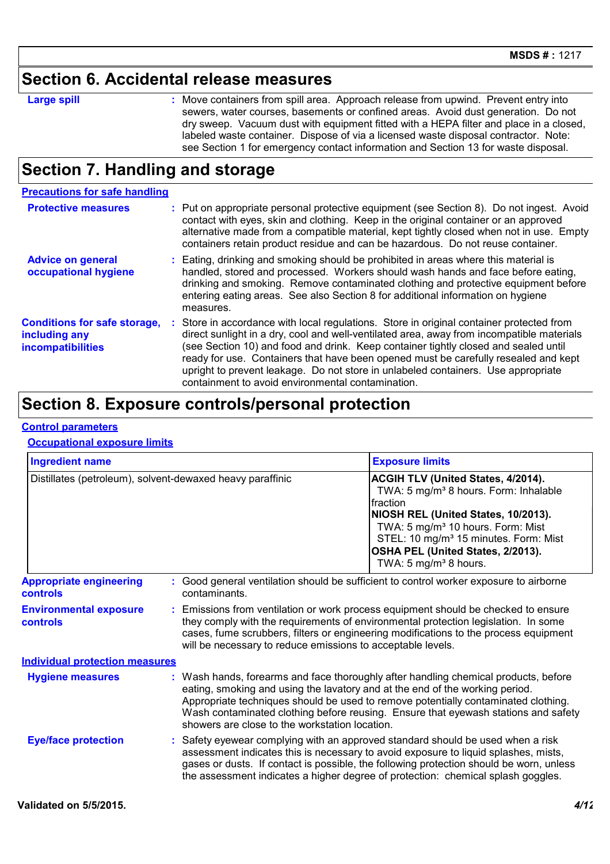### **Section 6. Accidental release measures**

|  |  | ı<br>ı |
|--|--|--------|
|  |  |        |

**Large spill Example 20 CE SET SET SHOWE CONTAINGLY STATE IN EXAMPLE THE STATE SHOWE STATE SHOWE SHOWE SHOWE SHOWE SHOWE SHOWE SHOWE SHOWE SHOWE SHOWE SHOWE SHOWE SHOWE SHOWE SHOWE SHOWE SHOWE SHOWE SHOWE SHOWE SHOWE SHO** sewers, water courses, basements or confined areas. Avoid dust generation. Do not dry sweep. Vacuum dust with equipment fitted with a HEPA filter and place in a closed, labeled waste container. Dispose of via a licensed waste disposal contractor. Note: see Section 1 for emergency contact information and Section 13 for waste disposal.

# **Section 7. Handling and storage**

| <b>Precautions for safe handling</b>                                             |                                                                                                                                                                                                                                                                                                                                                                                                                                                                                                               |
|----------------------------------------------------------------------------------|---------------------------------------------------------------------------------------------------------------------------------------------------------------------------------------------------------------------------------------------------------------------------------------------------------------------------------------------------------------------------------------------------------------------------------------------------------------------------------------------------------------|
| <b>Protective measures</b>                                                       | : Put on appropriate personal protective equipment (see Section 8). Do not ingest. Avoid<br>contact with eyes, skin and clothing. Keep in the original container or an approved<br>alternative made from a compatible material, kept tightly closed when not in use. Empty<br>containers retain product residue and can be hazardous. Do not reuse container.                                                                                                                                                 |
| <b>Advice on general</b><br>occupational hygiene                                 | : Eating, drinking and smoking should be prohibited in areas where this material is<br>handled, stored and processed. Workers should wash hands and face before eating,<br>drinking and smoking. Remove contaminated clothing and protective equipment before<br>entering eating areas. See also Section 8 for additional information on hygiene<br>measures.                                                                                                                                                 |
| <b>Conditions for safe storage,</b><br>including any<br><b>incompatibilities</b> | : Store in accordance with local regulations. Store in original container protected from<br>direct sunlight in a dry, cool and well-ventilated area, away from incompatible materials<br>(see Section 10) and food and drink. Keep container tightly closed and sealed until<br>ready for use. Containers that have been opened must be carefully resealed and kept<br>upright to prevent leakage. Do not store in unlabeled containers. Use appropriate<br>containment to avoid environmental contamination. |

### **Section 8. Exposure controls/personal protection**

#### **Control parameters**

#### **Occupational exposure limits**

| <b>Ingredient name</b>                            |                                                             | <b>Exposure limits</b>                                                                                                                                                                                                                                                                                                                                                                            |  |  |
|---------------------------------------------------|-------------------------------------------------------------|---------------------------------------------------------------------------------------------------------------------------------------------------------------------------------------------------------------------------------------------------------------------------------------------------------------------------------------------------------------------------------------------------|--|--|
|                                                   | Distillates (petroleum), solvent-dewaxed heavy paraffinic   | ACGIH TLV (United States, 4/2014).<br>TWA: 5 mg/m <sup>3</sup> 8 hours. Form: Inhalable<br>fraction<br>NIOSH REL (United States, 10/2013).<br>TWA: 5 mg/m <sup>3</sup> 10 hours. Form: Mist<br>STEL: 10 mg/m <sup>3</sup> 15 minutes. Form: Mist<br>OSHA PEL (United States, 2/2013).<br>TWA: 5 mg/m <sup>3</sup> 8 hours.                                                                        |  |  |
| <b>Appropriate engineering</b><br><b>controls</b> | contaminants.                                               | : Good general ventilation should be sufficient to control worker exposure to airborne                                                                                                                                                                                                                                                                                                            |  |  |
| <b>Environmental exposure</b><br><b>controls</b>  | will be necessary to reduce emissions to acceptable levels. | : Emissions from ventilation or work process equipment should be checked to ensure<br>they comply with the requirements of environmental protection legislation. In some<br>cases, fume scrubbers, filters or engineering modifications to the process equipment                                                                                                                                  |  |  |
| <b>Individual protection measures</b>             |                                                             |                                                                                                                                                                                                                                                                                                                                                                                                   |  |  |
| <b>Hygiene measures</b>                           |                                                             | : Wash hands, forearms and face thoroughly after handling chemical products, before<br>eating, smoking and using the lavatory and at the end of the working period.<br>Appropriate techniques should be used to remove potentially contaminated clothing.<br>Wash contaminated clothing before reusing. Ensure that eyewash stations and safety<br>showers are close to the workstation location. |  |  |
| <b>Eye/face protection</b>                        |                                                             | : Safety eyewear complying with an approved standard should be used when a risk<br>assessment indicates this is necessary to avoid exposure to liquid splashes, mists,<br>gases or dusts. If contact is possible, the following protection should be worn, unless<br>the assessment indicates a higher degree of protection: chemical splash goggles.                                             |  |  |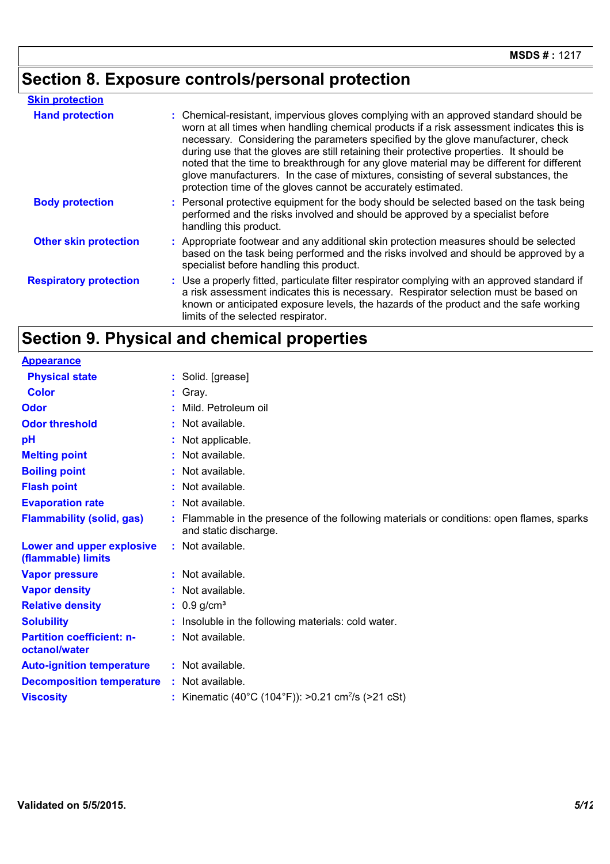# **Section 8. Exposure controls/personal protection**

| <b>Skin protection</b>        |                                                                                                                                                                                                                                                                                                                                                                                                                                                                                                                                                                                                                        |  |
|-------------------------------|------------------------------------------------------------------------------------------------------------------------------------------------------------------------------------------------------------------------------------------------------------------------------------------------------------------------------------------------------------------------------------------------------------------------------------------------------------------------------------------------------------------------------------------------------------------------------------------------------------------------|--|
| <b>Hand protection</b>        | : Chemical-resistant, impervious gloves complying with an approved standard should be<br>worn at all times when handling chemical products if a risk assessment indicates this is<br>necessary. Considering the parameters specified by the glove manufacturer, check<br>during use that the gloves are still retaining their protective properties. It should be<br>noted that the time to breakthrough for any glove material may be different for different<br>glove manufacturers. In the case of mixtures, consisting of several substances, the<br>protection time of the gloves cannot be accurately estimated. |  |
| <b>Body protection</b>        | : Personal protective equipment for the body should be selected based on the task being<br>performed and the risks involved and should be approved by a specialist before<br>handling this product.                                                                                                                                                                                                                                                                                                                                                                                                                    |  |
| <b>Other skin protection</b>  | : Appropriate footwear and any additional skin protection measures should be selected<br>based on the task being performed and the risks involved and should be approved by a<br>specialist before handling this product.                                                                                                                                                                                                                                                                                                                                                                                              |  |
| <b>Respiratory protection</b> | : Use a properly fitted, particulate filter respirator complying with an approved standard if<br>a risk assessment indicates this is necessary. Respirator selection must be based on<br>known or anticipated exposure levels, the hazards of the product and the safe working<br>limits of the selected respirator.                                                                                                                                                                                                                                                                                                   |  |

# **Section 9. Physical and chemical properties**

| <b>Appearance</b>                                 |                                                                                                                    |
|---------------------------------------------------|--------------------------------------------------------------------------------------------------------------------|
| <b>Physical state</b>                             | : Solid. [grease]                                                                                                  |
| <b>Color</b>                                      | $:$ Gray.                                                                                                          |
| Odor                                              | Mild. Petroleum oil                                                                                                |
| <b>Odor threshold</b>                             | : Not available.                                                                                                   |
| pH                                                | : Not applicable.                                                                                                  |
| <b>Melting point</b>                              | : Not available.                                                                                                   |
| <b>Boiling point</b>                              | : Not available.                                                                                                   |
| <b>Flash point</b>                                | : Not available.                                                                                                   |
| <b>Evaporation rate</b>                           | : Not available.                                                                                                   |
| <b>Flammability (solid, gas)</b>                  | : Flammable in the presence of the following materials or conditions: open flames, sparks<br>and static discharge. |
| Lower and upper explosive<br>(flammable) limits   | : Not available.                                                                                                   |
| <b>Vapor pressure</b>                             | : Not available.                                                                                                   |
| <b>Vapor density</b>                              | : Not available.                                                                                                   |
| <b>Relative density</b>                           | : $0.9$ g/cm <sup>3</sup>                                                                                          |
| <b>Solubility</b>                                 | : Insoluble in the following materials: cold water.                                                                |
| <b>Partition coefficient: n-</b><br>octanol/water | : Not available.                                                                                                   |
| <b>Auto-ignition temperature</b>                  | : Not available.                                                                                                   |
| <b>Decomposition temperature</b>                  | : Not available.                                                                                                   |
| <b>Viscosity</b>                                  | : Kinematic (40°C (104°F)): >0.21 cm <sup>2</sup> /s (>21 cSt)                                                     |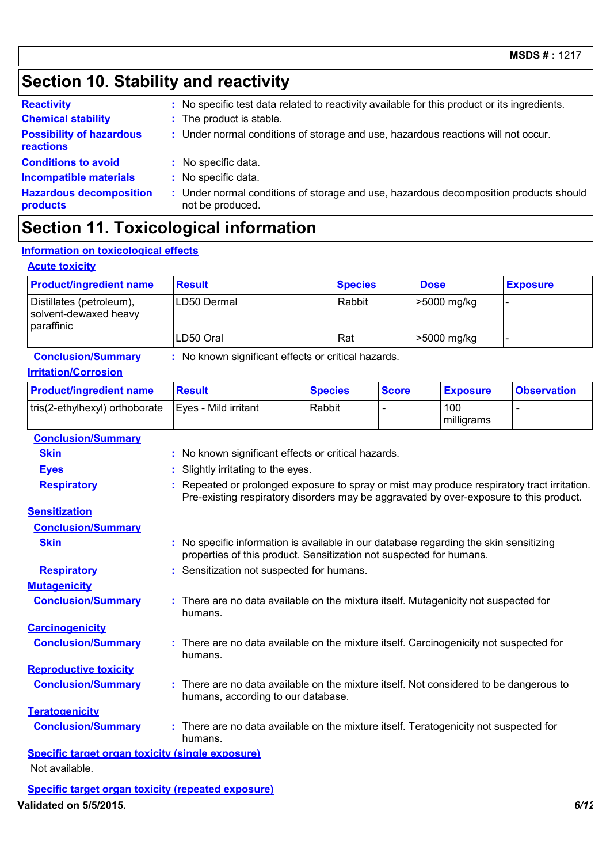# **Section 10. Stability and reactivity**

| <b>Reactivity</b>                            | : No specific test data related to reactivity available for this product or its ingredients.              |
|----------------------------------------------|-----------------------------------------------------------------------------------------------------------|
| <b>Chemical stability</b>                    | : The product is stable.                                                                                  |
| <b>Possibility of hazardous</b><br>reactions | : Under normal conditions of storage and use, hazardous reactions will not occur.                         |
| <b>Conditions to avoid</b>                   | : No specific data.                                                                                       |
| <b>Incompatible materials</b>                | No specific data.                                                                                         |
| <b>Hazardous decomposition</b><br>products   | : Under normal conditions of storage and use, hazardous decomposition products should<br>not be produced. |

# **Section 11. Toxicological information**

### **Information on toxicological effects**

### **Acute toxicity**

| <b>Product/ingredient name</b>                                  | <b>Result</b> | <b>Species</b> | <b>Dose</b> | <b>Exposure</b> |
|-----------------------------------------------------------------|---------------|----------------|-------------|-----------------|
| Distillates (petroleum),<br>solvent-dewaxed heavy<br>paraffinic | ILD50 Dermal  | Rabbit         | >5000 mg/kg |                 |
|                                                                 | LD50 Oral     | Rat            | >5000 mg/kg |                 |

#### **Conclusion/Summary :** No known significant effects or critical hazards.

#### **Irritation/Corrosion**

| <b>Product/ingredient name</b> | <b>Result</b>        | <b>Species</b> | <b>Score</b> | <b>Exposure</b>   | <b>Observation</b> |
|--------------------------------|----------------------|----------------|--------------|-------------------|--------------------|
| tris(2-ethylhexyl) orthoborate | Eves - Mild irritant | Rabbit         |              | 100<br>milligrams | -                  |

### **Carcinogenicity Conclusion/Summary :** There are no data available on the mixture itself. Carcinogenicity not suspected for humans. **Mutagenicity Conclusion/Summary :** There are no data available on the mixture itself. Mutagenicity not suspected for humans. **Teratogenicity Conclusion/Summary :** There are no data available on the mixture itself. Teratogenicity not suspected for humans. **Reproductive toxicity Conclusion/Summary :** There are no data available on the mixture itself. Not considered to be dangerous to humans, according to our database. **Conclusion/Summary Skin :** No known significant effects or critical hazards. **Eyes :** Slightly irritating to the eyes. **Respiratory <b>:** Repeated or prolonged exposure to spray or mist may produce respiratory tract irritation. Pre-existing respiratory disorders may be aggravated by over-exposure to this product. **Sensitization Conclusion/Summary Skin Example 2018 :** No specific information is available in our database regarding the skin sensitizing properties of this product. Sensitization not suspected for humans. **Respiratory :** Sensitization not suspected for humans. **Specific target organ toxicity (single exposure)** Not available.

**Specific target organ toxicity (repeated exposure) Validated on 5/5/2015.** *6/12*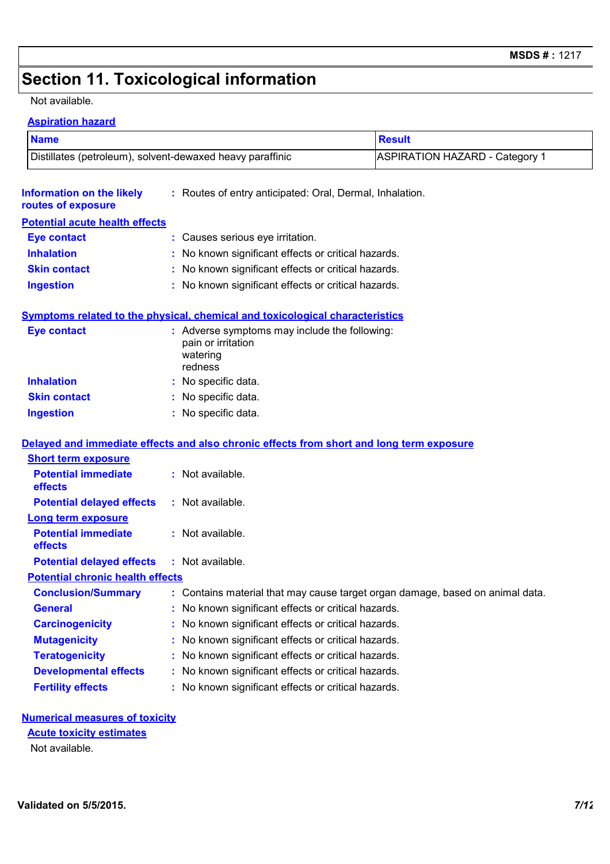# **Section 11. Toxicological information**

#### Not available.

### **Aspiration hazard**

| <b>Name</b>                                               |                                                                                            | <b>Result</b>                         |  |  |  |  |
|-----------------------------------------------------------|--------------------------------------------------------------------------------------------|---------------------------------------|--|--|--|--|
| Distillates (petroleum), solvent-dewaxed heavy paraffinic |                                                                                            | <b>ASPIRATION HAZARD - Category 1</b> |  |  |  |  |
| <b>Information on the likely</b><br>routes of exposure    | : Routes of entry anticipated: Oral, Dermal, Inhalation.                                   |                                       |  |  |  |  |
| <b>Potential acute health effects</b>                     |                                                                                            |                                       |  |  |  |  |
| <b>Eye contact</b>                                        | : Causes serious eye irritation.                                                           |                                       |  |  |  |  |
| <b>Inhalation</b>                                         | : No known significant effects or critical hazards.                                        |                                       |  |  |  |  |
| <b>Skin contact</b>                                       | : No known significant effects or critical hazards.                                        |                                       |  |  |  |  |
| <b>Ingestion</b>                                          | : No known significant effects or critical hazards.                                        |                                       |  |  |  |  |
|                                                           | Symptoms related to the physical, chemical and toxicological characteristics               |                                       |  |  |  |  |
| <b>Eye contact</b>                                        | : Adverse symptoms may include the following:<br>pain or irritation<br>watering<br>redness |                                       |  |  |  |  |
| <b>Inhalation</b>                                         | : No specific data.                                                                        |                                       |  |  |  |  |
| <b>Skin contact</b>                                       | : No specific data.                                                                        |                                       |  |  |  |  |
| <b>Ingestion</b>                                          | : No specific data.                                                                        |                                       |  |  |  |  |
|                                                           | Delayed and immediate effects and also chronic effects from short and long term exposure   |                                       |  |  |  |  |
| <b>Short term exposure</b>                                |                                                                                            |                                       |  |  |  |  |
| <b>Potential immediate</b><br>effects                     | : Not available.                                                                           |                                       |  |  |  |  |
| <b>Potential delayed effects</b>                          | : Not available.                                                                           |                                       |  |  |  |  |
| <b>Long term exposure</b>                                 |                                                                                            |                                       |  |  |  |  |
| <b>Potential immediate</b><br>effects                     | : Not available.                                                                           |                                       |  |  |  |  |
| <b>Potential delayed effects</b>                          | : Not available.                                                                           |                                       |  |  |  |  |
| <b>Potential chronic health effects</b>                   |                                                                                            |                                       |  |  |  |  |
| <b>Conclusion/Summary</b>                                 | : Contains material that may cause target organ damage, based on animal data.              |                                       |  |  |  |  |
| <b>General</b>                                            | : No known significant effects or critical hazards.                                        |                                       |  |  |  |  |
| <b>Carcinogenicity</b>                                    | : No known significant effects or critical hazards.                                        |                                       |  |  |  |  |
| <b>Mutagenicity</b>                                       | : No known significant effects or critical hazards.                                        |                                       |  |  |  |  |
| <b>Teratogenicity</b>                                     | : No known significant effects or critical hazards.                                        |                                       |  |  |  |  |
| <b>Developmental effects</b>                              | : No known significant effects or critical hazards.                                        |                                       |  |  |  |  |
| <b>Fertility effects</b>                                  | : No known significant effects or critical hazards.                                        |                                       |  |  |  |  |
|                                                           |                                                                                            |                                       |  |  |  |  |

### **Numerical measures of toxicity**

Not available. **Acute toxicity estimates**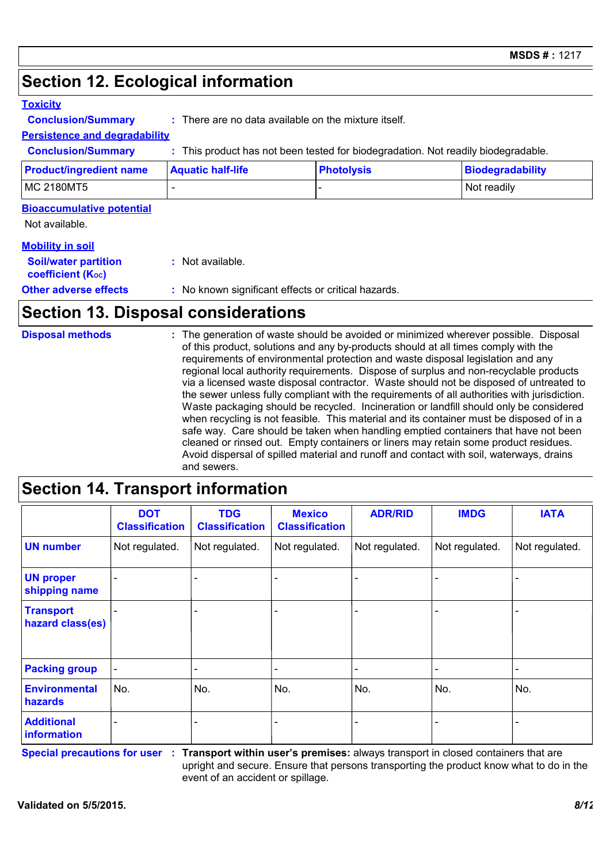# **Section 12. Ecological information**

### **Toxicity**

**Conclusion/Summary :** There are no data available on the mixture itself.

### **Persistence and degradability**

**Conclusion/Summary :** This product has not been tested for biodegradation. Not readily biodegradable.

| <b>Product/ingredient name</b> | <b>Aquatic half-life</b> | <b>Photolysis</b> | Biodegradability |
|--------------------------------|--------------------------|-------------------|------------------|
| <b>MC 2180MT5</b>              |                          |                   | Not readily      |

### **Bioaccumulative potential**

Not available.

### **Mobility in soil**

| <b>Soil/water partition</b><br>coefficient (K <sub>oc</sub> ) | : Not available.                                    |
|---------------------------------------------------------------|-----------------------------------------------------|
| <b>Other adverse effects</b>                                  | : No known significant effects or critical hazards. |

# **Section 13. Disposal considerations**

| <b>Disposal methods</b><br>and sewers. | : The generation of waste should be avoided or minimized wherever possible. Disposal<br>of this product, solutions and any by-products should at all times comply with the<br>requirements of environmental protection and waste disposal legislation and any<br>regional local authority requirements. Dispose of surplus and non-recyclable products<br>via a licensed waste disposal contractor. Waste should not be disposed of untreated to<br>the sewer unless fully compliant with the requirements of all authorities with jurisdiction.<br>Waste packaging should be recycled. Incineration or landfill should only be considered<br>when recycling is not feasible. This material and its container must be disposed of in a<br>safe way. Care should be taken when handling emptied containers that have not been<br>cleaned or rinsed out. Empty containers or liners may retain some product residues.<br>Avoid dispersal of spilled material and runoff and contact with soil, waterways, drains |
|----------------------------------------|----------------------------------------------------------------------------------------------------------------------------------------------------------------------------------------------------------------------------------------------------------------------------------------------------------------------------------------------------------------------------------------------------------------------------------------------------------------------------------------------------------------------------------------------------------------------------------------------------------------------------------------------------------------------------------------------------------------------------------------------------------------------------------------------------------------------------------------------------------------------------------------------------------------------------------------------------------------------------------------------------------------|
|----------------------------------------|----------------------------------------------------------------------------------------------------------------------------------------------------------------------------------------------------------------------------------------------------------------------------------------------------------------------------------------------------------------------------------------------------------------------------------------------------------------------------------------------------------------------------------------------------------------------------------------------------------------------------------------------------------------------------------------------------------------------------------------------------------------------------------------------------------------------------------------------------------------------------------------------------------------------------------------------------------------------------------------------------------------|

### **Section 14. Transport information**

|                                      | <b>DOT</b><br><b>Classification</b> | <b>TDG</b><br><b>Classification</b> | <b>Mexico</b><br><b>Classification</b> | <b>ADR/RID</b> | <b>IMDG</b>    | <b>IATA</b>    |
|--------------------------------------|-------------------------------------|-------------------------------------|----------------------------------------|----------------|----------------|----------------|
| <b>UN number</b>                     | Not regulated.                      | Not regulated.                      | Not regulated.                         | Not regulated. | Not regulated. | Not regulated. |
| <b>UN proper</b><br>shipping name    |                                     |                                     |                                        |                |                |                |
| <b>Transport</b><br>hazard class(es) |                                     |                                     |                                        |                |                |                |
| <b>Packing group</b>                 |                                     | -                                   | -                                      |                |                |                |
| <b>Environmental</b><br>hazards      | No.                                 | No.                                 | No.                                    | No.            | No.            | No.            |
| <b>Additional</b><br>information     |                                     |                                     |                                        |                |                |                |

**Special precautions for user Transport within user's premises:** always transport in closed containers that are **:** upright and secure. Ensure that persons transporting the product know what to do in the event of an accident or spillage.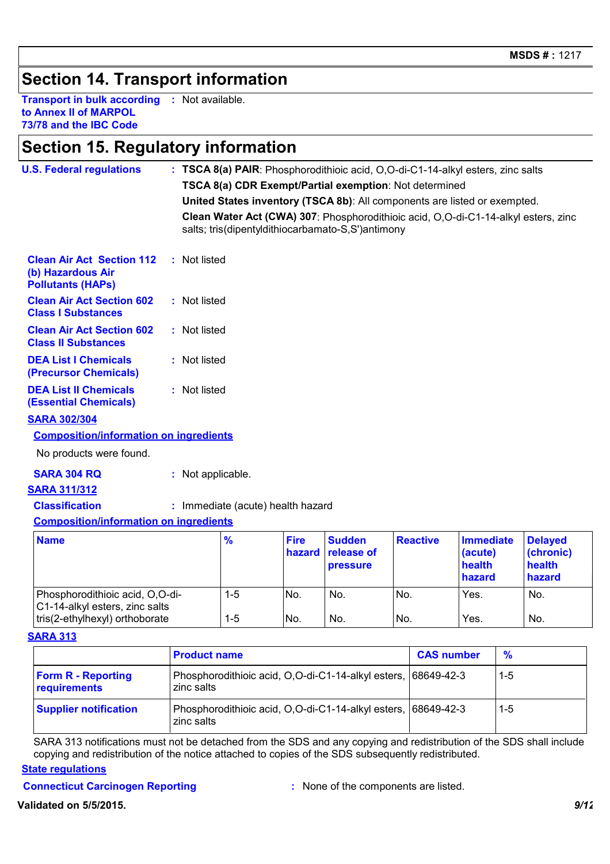# **Section 14. Transport information**

**Transport in bulk according :** Not available. **to Annex II of MARPOL 73/78 and the IBC Code**

### **Section 15. Regulatory information**

| <b>U.S. Federal regulations</b>                                                   |  |                                                        |                                                                           |                       |                                                   |                 | : TSCA 8(a) PAIR: Phosphorodithioic acid, O,O-di-C1-14-alkyl esters, zinc salts    |                                                 |  |
|-----------------------------------------------------------------------------------|--|--------------------------------------------------------|---------------------------------------------------------------------------|-----------------------|---------------------------------------------------|-----------------|------------------------------------------------------------------------------------|-------------------------------------------------|--|
|                                                                                   |  | TSCA 8(a) CDR Exempt/Partial exemption: Not determined |                                                                           |                       |                                                   |                 |                                                                                    |                                                 |  |
|                                                                                   |  |                                                        | United States inventory (TSCA 8b): All components are listed or exempted. |                       |                                                   |                 |                                                                                    |                                                 |  |
|                                                                                   |  |                                                        |                                                                           |                       | salts; tris(dipentyldithiocarbamato-S,S')antimony |                 | Clean Water Act (CWA) 307: Phosphorodithioic acid, O,O-di-C1-14-alkyl esters, zinc |                                                 |  |
| <b>Clean Air Act Section 112</b><br>(b) Hazardous Air<br><b>Pollutants (HAPs)</b> |  | : Not listed                                           |                                                                           |                       |                                                   |                 |                                                                                    |                                                 |  |
| <b>Clean Air Act Section 602</b><br><b>Class I Substances</b>                     |  | : Not listed                                           |                                                                           |                       |                                                   |                 |                                                                                    |                                                 |  |
| <b>Clean Air Act Section 602</b><br><b>Class II Substances</b>                    |  | : Not listed                                           |                                                                           |                       |                                                   |                 |                                                                                    |                                                 |  |
| <b>DEA List I Chemicals</b><br>(Precursor Chemicals)                              |  | : Not listed                                           |                                                                           |                       |                                                   |                 |                                                                                    |                                                 |  |
| <b>DEA List II Chemicals</b><br><b>(Essential Chemicals)</b>                      |  | : Not listed                                           |                                                                           |                       |                                                   |                 |                                                                                    |                                                 |  |
| <b>SARA 302/304</b>                                                               |  |                                                        |                                                                           |                       |                                                   |                 |                                                                                    |                                                 |  |
| <b>Composition/information on ingredients</b>                                     |  |                                                        |                                                                           |                       |                                                   |                 |                                                                                    |                                                 |  |
| No products were found.                                                           |  |                                                        |                                                                           |                       |                                                   |                 |                                                                                    |                                                 |  |
| <b>SARA 304 RQ</b>                                                                |  | : Not applicable.                                      |                                                                           |                       |                                                   |                 |                                                                                    |                                                 |  |
| <b>SARA 311/312</b>                                                               |  |                                                        |                                                                           |                       |                                                   |                 |                                                                                    |                                                 |  |
| <b>Classification</b>                                                             |  |                                                        | : Immediate (acute) health hazard                                         |                       |                                                   |                 |                                                                                    |                                                 |  |
| <b>Composition/information on ingredients</b>                                     |  |                                                        |                                                                           |                       |                                                   |                 |                                                                                    |                                                 |  |
| <b>Name</b>                                                                       |  |                                                        | $\frac{9}{6}$                                                             | <b>Fire</b><br>hazard | <b>Sudden</b><br>release of<br><b>pressure</b>    | <b>Reactive</b> | <b>Immediate</b><br>(acute)<br>health<br>hazard                                    | <b>Delayed</b><br>(chronic)<br>health<br>hazard |  |
| Phosphorodithioic acid, O,O-di-<br>C1-14-alkyl esters, zinc salts                 |  |                                                        | $1 - 5$                                                                   | No.                   | No.                                               | No.             | Yes.                                                                               | No.                                             |  |
| tris(2-ethylhexyl) orthoborate                                                    |  |                                                        | $1 - 5$                                                                   | No.                   | No.                                               | No.             | Yes.                                                                               | No.                                             |  |

#### **SARA 313**

|                                           | <b>Product name</b>                                                         | <b>CAS number</b> | $\frac{9}{6}$ |
|-------------------------------------------|-----------------------------------------------------------------------------|-------------------|---------------|
| <b>Form R - Reporting</b><br>requirements | Phosphorodithioic acid, O,O-di-C1-14-alkyl esters, 68649-42-3<br>zinc salts |                   | $1-5$         |
| <b>Supplier notification</b>              | Phosphorodithioic acid, O,O-di-C1-14-alkyl esters, 68649-42-3<br>zinc salts |                   | 1-5           |

SARA 313 notifications must not be detached from the SDS and any copying and redistribution of the SDS shall include copying and redistribution of the notice attached to copies of the SDS subsequently redistributed.

### **State regulations**

**Connecticut Carcinogen Reporting :** None of the components are listed.

**Validated on 5/5/2015.** *9/12*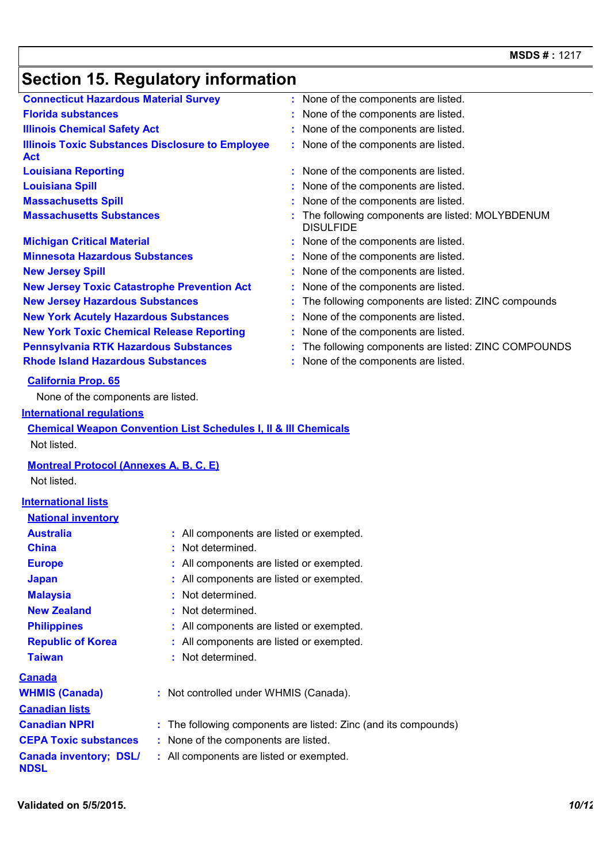# **Section 15. Regulatory information**

|                                                                       | Secuon 19. Reguiatory information                                          |                                                                       |
|-----------------------------------------------------------------------|----------------------------------------------------------------------------|-----------------------------------------------------------------------|
| <b>Connecticut Hazardous Material Survey</b>                          |                                                                            | : None of the components are listed.                                  |
| <b>Florida substances</b>                                             |                                                                            | : None of the components are listed.                                  |
| <b>Illinois Chemical Safety Act</b>                                   |                                                                            | : None of the components are listed.                                  |
| <b>Illinois Toxic Substances Disclosure to Employee</b><br><b>Act</b> |                                                                            | : None of the components are listed.                                  |
| <b>Louisiana Reporting</b>                                            |                                                                            | : None of the components are listed.                                  |
| <b>Louisiana Spill</b>                                                |                                                                            | None of the components are listed.                                    |
| <b>Massachusetts Spill</b>                                            |                                                                            | None of the components are listed.                                    |
| <b>Massachusetts Substances</b>                                       |                                                                            | : The following components are listed: MOLYBDENUM<br><b>DISULFIDE</b> |
| <b>Michigan Critical Material</b>                                     |                                                                            | : None of the components are listed.                                  |
| <b>Minnesota Hazardous Substances</b>                                 |                                                                            | : None of the components are listed.                                  |
| <b>New Jersey Spill</b>                                               |                                                                            | : None of the components are listed.                                  |
| <b>New Jersey Toxic Catastrophe Prevention Act</b>                    |                                                                            | None of the components are listed.                                    |
| <b>New Jersey Hazardous Substances</b>                                |                                                                            | : The following components are listed: ZINC compounds                 |
| <b>New York Acutely Hazardous Substances</b>                          |                                                                            | : None of the components are listed.                                  |
| <b>New York Toxic Chemical Release Reporting</b>                      |                                                                            | : None of the components are listed.                                  |
| <b>Pennsylvania RTK Hazardous Substances</b>                          |                                                                            | The following components are listed: ZINC COMPOUNDS                   |
| <b>Rhode Island Hazardous Substances</b>                              |                                                                            | None of the components are listed.                                    |
| <b>California Prop. 65</b>                                            |                                                                            |                                                                       |
| None of the components are listed.                                    |                                                                            |                                                                       |
| <b>International regulations</b>                                      |                                                                            |                                                                       |
|                                                                       | <b>Chemical Weapon Convention List Schedules I, II &amp; III Chemicals</b> |                                                                       |
| Not listed.                                                           |                                                                            |                                                                       |
| <b>Montreal Protocol (Annexes A, B, C, E)</b>                         |                                                                            |                                                                       |
| Not listed.                                                           |                                                                            |                                                                       |
|                                                                       |                                                                            |                                                                       |
| <b>International lists</b>                                            |                                                                            |                                                                       |
| <b>National inventory</b>                                             |                                                                            |                                                                       |
| <b>Australia</b>                                                      | : All components are listed or exempted.                                   |                                                                       |
| <b>China</b>                                                          | Not determined.                                                            |                                                                       |
| <b>Europe</b>                                                         | All components are listed or exempted.                                     |                                                                       |
| <b>Japan</b>                                                          | All components are listed or exempted.                                     |                                                                       |
| <b>Malaysia</b>                                                       | Not determined.                                                            |                                                                       |
| <b>New Zealand</b>                                                    | Not determined.                                                            |                                                                       |
| <b>Philippines</b>                                                    | All components are listed or exempted.                                     |                                                                       |
| <b>Republic of Korea</b>                                              | All components are listed or exempted.                                     |                                                                       |
| <b>Taiwan</b>                                                         | Not determined.                                                            |                                                                       |
| <b>Canada</b>                                                         |                                                                            |                                                                       |
| <b>WHMIS (Canada)</b>                                                 | : Not controlled under WHMIS (Canada).                                     |                                                                       |
| <b>Canadian lists</b>                                                 |                                                                            |                                                                       |
| <b>Canadian NPRI</b>                                                  |                                                                            | The following components are listed: Zinc (and its compounds)         |
| <b>CEPA Toxic substances</b>                                          | None of the components are listed.                                         |                                                                       |
| <b>Canada inventory; DSL/</b>                                         | : All components are listed or exempted.                                   |                                                                       |
| <b>NDSL</b>                                                           |                                                                            |                                                                       |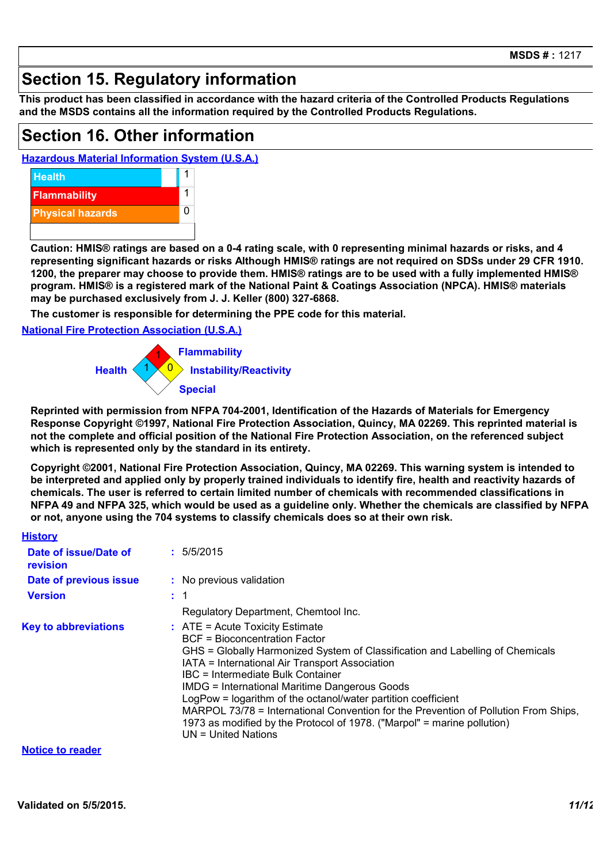# **Section 15. Regulatory information**

**This product has been classified in accordance with the hazard criteria of the Controlled Products Regulations and the MSDS contains all the information required by the Controlled Products Regulations.**

### **Section 16. Other information**

**Hazardous Material Information System (U.S.A.)**



**Caution: HMIS® ratings are based on a 0-4 rating scale, with 0 representing minimal hazards or risks, and 4 representing significant hazards or risks Although HMIS® ratings are not required on SDSs under 29 CFR 1910. 1200, the preparer may choose to provide them. HMIS® ratings are to be used with a fully implemented HMIS® program. HMIS® is a registered mark of the National Paint & Coatings Association (NPCA). HMIS® materials may be purchased exclusively from J. J. Keller (800) 327-6868.**

**The customer is responsible for determining the PPE code for this material.**

**National Fire Protection Association (U.S.A.)**



**Reprinted with permission from NFPA 704-2001, Identification of the Hazards of Materials for Emergency Response Copyright ©1997, National Fire Protection Association, Quincy, MA 02269. This reprinted material is not the complete and official position of the National Fire Protection Association, on the referenced subject which is represented only by the standard in its entirety.**

**Copyright ©2001, National Fire Protection Association, Quincy, MA 02269. This warning system is intended to be interpreted and applied only by properly trained individuals to identify fire, health and reactivity hazards of chemicals. The user is referred to certain limited number of chemicals with recommended classifications in NFPA 49 and NFPA 325, which would be used as a guideline only. Whether the chemicals are classified by NFPA or not, anyone using the 704 systems to classify chemicals does so at their own risk.**

| <b>History</b>                    |                                                                                                                                                                                                                                                                                                                                                                                                                                                                                                                                                                              |  |
|-----------------------------------|------------------------------------------------------------------------------------------------------------------------------------------------------------------------------------------------------------------------------------------------------------------------------------------------------------------------------------------------------------------------------------------------------------------------------------------------------------------------------------------------------------------------------------------------------------------------------|--|
| Date of issue/Date of<br>revision | : 5/5/2015                                                                                                                                                                                                                                                                                                                                                                                                                                                                                                                                                                   |  |
| Date of previous issue            | : No previous validation                                                                                                                                                                                                                                                                                                                                                                                                                                                                                                                                                     |  |
| <b>Version</b>                    | : 1                                                                                                                                                                                                                                                                                                                                                                                                                                                                                                                                                                          |  |
|                                   | Regulatory Department, Chemtool Inc.                                                                                                                                                                                                                                                                                                                                                                                                                                                                                                                                         |  |
| <b>Key to abbreviations</b>       | $\therefore$ ATE = Acute Toxicity Estimate<br><b>BCF</b> = Bioconcentration Factor<br>GHS = Globally Harmonized System of Classification and Labelling of Chemicals<br>IATA = International Air Transport Association<br>IBC = Intermediate Bulk Container<br><b>IMDG = International Maritime Dangerous Goods</b><br>LogPow = logarithm of the octanol/water partition coefficient<br>MARPOL 73/78 = International Convention for the Prevention of Pollution From Ships,<br>1973 as modified by the Protocol of 1978. ("Marpol" = marine pollution)<br>UN = United Nations |  |

#### **Notice to reader**